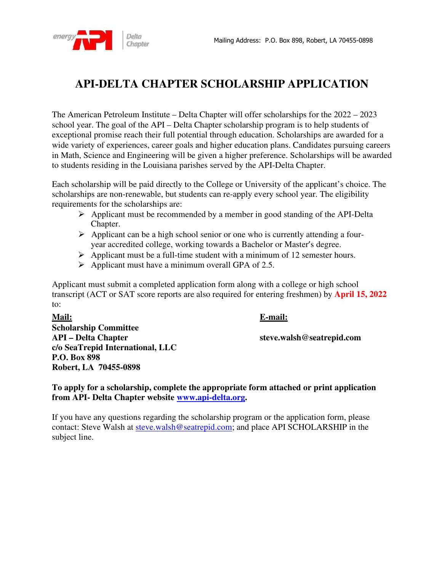

## **API-DELTA CHAPTER SCHOLARSHIP APPLICATION**

The American Petroleum Institute – Delta Chapter will offer scholarships for the 2022 – 2023 school year. The goal of the API – Delta Chapter scholarship program is to help students of exceptional promise reach their full potential through education. Scholarships are awarded for a wide variety of experiences, career goals and higher education plans. Candidates pursuing careers in Math, Science and Engineering will be given a higher preference. Scholarships will be awarded to students residing in the Louisiana parishes served by the API-Delta Chapter.

Each scholarship will be paid directly to the College or University of the applicant's choice. The scholarships are non-renewable, but students can re-apply every school year. The eligibility requirements for the scholarships are:

- $\triangleright$  Applicant must be recommended by a member in good standing of the API-Delta Chapter.
- $\triangleright$  Applicant can be a high school senior or one who is currently attending a fouryear accredited college, working towards a Bachelor or Master's degree.
- $\triangleright$  Applicant must be a full-time student with a minimum of 12 semester hours.
- $\triangleright$  Applicant must have a minimum overall GPA of 2.5.

Applicant must submit a completed application form along with a college or high school transcript (ACT or SAT score reports are also required for entering freshmen) by **April 15, 2022** to:

**Mail: E-mail: Scholarship Committee API – Delta Chapter steve.walsh@seatrepid.com c/o SeaTrepid International, LLC P.O. Box 898 Robert, LA 70455-0898** 

**To apply for a scholarship, complete the appropriate form attached or print application from API- Delta Chapter website www.api-delta.org.** 

If you have any questions regarding the scholarship program or the application form, please contact: Steve Walsh at steve.walsh@seatrepid.com; and place API SCHOLARSHIP in the subject line.